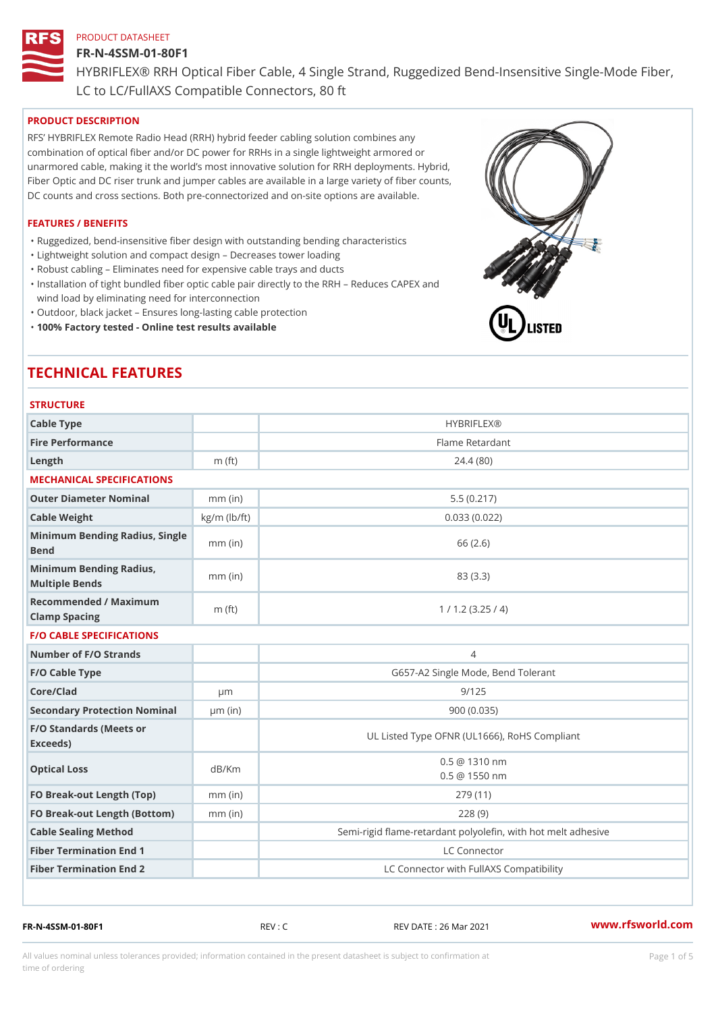#### FR-N-4SSM-01-80F1

HYBRIFLEX® RRH Optical Fiber Cable, 4 Single Strand, Ruggedized Be

LC to LC/FullAXS Compatible Connectors, 80 ft

### PRODUCT DESCRIPTION

RFS HYBRIFLEX Remote Radio Head (RRH) hybrid feeder cabling solution combines any combination of optical fiber and/or DC power for RRHs in a single lightweight armored or unarmored cable, making it the world s most innovative solution for RRH deployments. Hybrid, Fiber Optic and DC riser trunk and jumper cables are available in a large variety of fiber counts, DC counts and cross sections. Both pre-connectorized and on-site options are available.

### FEATURES / BENEFITS

"Ruggedized, bend-insensitive fiber design with outstanding bending characteristics

- "Lightweight solution and compact design Decreases tower loading
- "Robust cabling Eliminates need for expensive cable trays and ducts
- "Installation of tight bundled fiber optic cable pair directly to the RRH Aeduces CAPEX and wind load by eliminating need for interconnection
- "Outdoor, black jacket Ensures long-lasting cable protection
- "100% Factory tested Online test results available

# TECHNICAL FEATURES

STRUCTURE

| 0   N 0 0   0 N L                                 |                    |                                                         |
|---------------------------------------------------|--------------------|---------------------------------------------------------|
| Cable Type                                        |                    | <b>HYBRIFLEX®</b>                                       |
| Fire Performance                                  |                    | Flame Retardant                                         |
| Length                                            | $m$ (ft)           | 24.4(80)                                                |
| MECHANICAL SPECIFICATIONS                         |                    |                                                         |
| Outer Diameter Nominal                            | $mm$ (in)          | 5.5(0.217)                                              |
| Cable Weight                                      | $kg/m$ ( $lb/ft$ ) | 0.033(0.022)                                            |
| Minimum Bending Radius, Single<br>Bend            |                    | 66 (2.6)                                                |
| Minimum Bending Radius, mm (in)<br>Multiple Bends |                    | 83 (3.3)                                                |
| Recommended / Maximum<br>Clamp Spacing            | $m$ (ft)           | 1 / 1.2 (3.25 / 4)                                      |
| <b>F/O CABLE SPECIFICATIONS</b>                   |                    |                                                         |
| Number of F/O Strands                             |                    | 4                                                       |
| F/O Cable Type                                    |                    | G657-A2 Single Mode, Bend Tolerant                      |
| Core/Clad                                         | $\mu$ m            | 9/125                                                   |
| Secondary Protection Nomimal(in)                  |                    | 900(0.035)                                              |
| F/O Standards (Meets or<br>Exceeds)               |                    | UL Listed Type OFNR (UL1666), RoHS Compliant            |
| Optical Loss                                      | dB/Km              | $0.5 \t@ 1310 nm$<br>$0.5 \t@ 1550 nm$                  |
| FO Break-out Length (Top)mm (in)                  |                    | 279 (11)                                                |
| FO Break-out Length (Bottomm) (in)                |                    | 228(9)                                                  |
| Cable Sealing Method                              |                    | Semi-rigid flame-retardant polyolefin, with hot melt ad |
| Fiber Termination End                             |                    | LC Connector                                            |
| Fiber Termination End 2                           |                    | LC Connector with FullAXS Compatibility                 |

FR-N-4SSM-01-80F1 REV : C REV DATE : 26 Mar 2021 [www.](https://www.rfsworld.com)rfsworld.com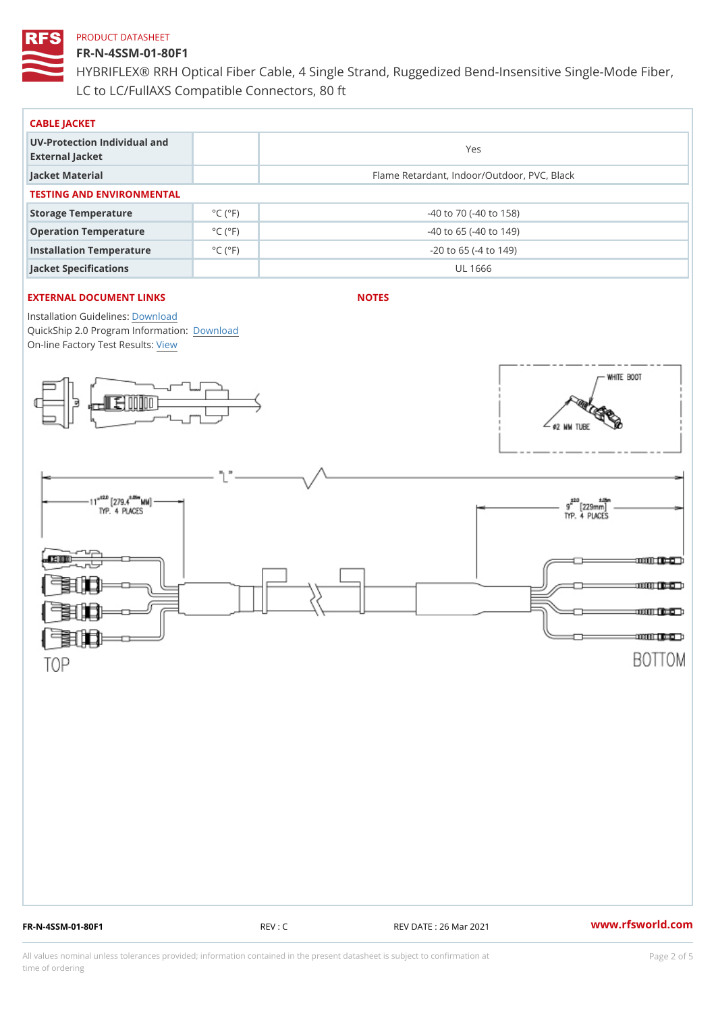# FR-N-4SSM-01-80F1

HYBRIFLEX® RRH Optical Fiber Cable, 4 Single Strand, Ruggedized Be LC to LC/FullAXS Compatible Connectors, 80 ft

| CABLE JACKET                                    |                             |                                             |  |  |  |  |
|-------------------------------------------------|-----------------------------|---------------------------------------------|--|--|--|--|
| UV-Protection Individual and<br>External Jacket |                             | Yes                                         |  |  |  |  |
| Jacket Material                                 |                             | Flame Retardant, Indoor/Outdoor, PVC, Black |  |  |  |  |
| TESTING AND ENVIRONMENTAL                       |                             |                                             |  |  |  |  |
| Storage Temperature                             | $^{\circ}$ C ( $^{\circ}$ F | $-40$ to $70$ ( $-40$ to $158$ )            |  |  |  |  |
| Operation Temperature                           | $^{\circ}$ C ( $^{\circ}$ F | $-40$ to 65 ( $-40$ to 149)                 |  |  |  |  |
| Installation Temperature                        | $^{\circ}$ C ( $^{\circ}$ F | $-20$ to 65 ( $-4$ to 149)                  |  |  |  |  |
| Jacket Specifications                           |                             | UL 1666                                     |  |  |  |  |

# EXTERNAL DOCUMENT LINKS

NOTES

Installation Guidelwinessad QuickShip 2.0 Program [Informa](http://www.rfsworld.com/images/hybriflex/quickship_program_2.pdf)tion: On-line Factory Te[s](https://www.rfsworld.com/pictures/userfiles/programs/AAST Latest Version.zip)teResults:

FR-N-4SSM-01-80F1 REV : C REV DATE : 26 Mar 2021 [www.](https://www.rfsworld.com)rfsworld.com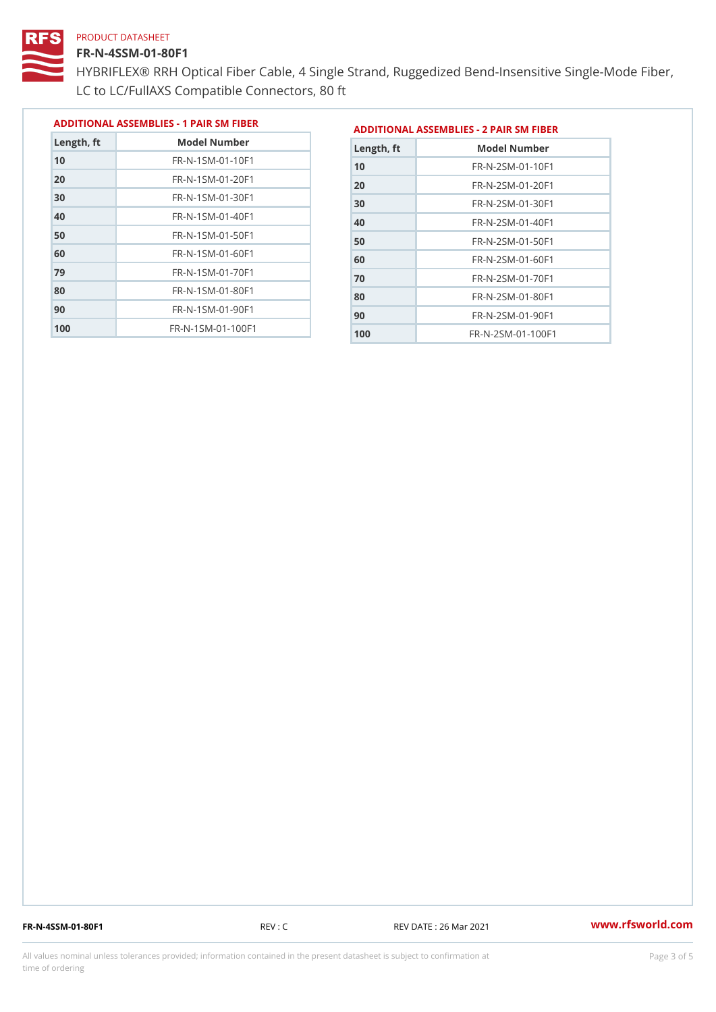# FR-N-4SSM-01-80F1

 FR-N-1SM-01-70F1 FR-N-1SM-01-80F1 FR-N-1SM-01-90F1 FR-N-1SM-01-100F1

HYBRIFLEX® RRH Optical Fiber Cable, 4 Single Strand, Ruggedized Be LC to LC/FullAXS Compatible Connectors, 80 ft

> FR-N-2SM-01-70F1 FR-N-2SM-01-80F1 FR-N-2SM-01-90F1 FR-N-2SM-01-100F1

|               |                                |               | ADDITIONAL ASSEMBLIES - 1 PAIR SM FIBERDDITIONAL ASSEMBLIES - 2 PAIR SM FIBER |
|---------------|--------------------------------|---------------|-------------------------------------------------------------------------------|
| $L$ ength, ft | Model Number                   | $L$ ength, ft | Model Number                                                                  |
| 10            | $FR - N - 1$ S M - 01 - 10 F 1 | 10            | FR-N-2SM-01-10F1                                                              |
| 20            | $FR - N - 1$ S M - 01 - 20 F 1 | 20            | $FR - N - 2 SM - 01 - 20 F1$                                                  |
| 30            | $FR - N - 1$ S M - 01 - 30 F 1 | 30            | $FR - N - 2 SM - 01 - 30 F1$                                                  |
| 40            | $FR - N - 1 SM - 01 - 40 F1$   | 40            | $FR - N - 2 SM - 01 - 40 F1$                                                  |
| 50            | $FR - N - 1$ S M - 01 - 50 F 1 | 50            | FR-N-2SM-01-50F1                                                              |
| 60            | $FR - N - 1$ S M - 01 - 60 F 1 | 60            | $FR - N - 2 SM - 01 - 60 F1$                                                  |

FR-N-4SSM-01-80F1 REV : C REV DATE : 26 Mar 2021 [www.](https://www.rfsworld.com)rfsworld.com

All values nominal unless tolerances provided; information contained in the present datasheet is subject to Pcapgeling that i time of ordering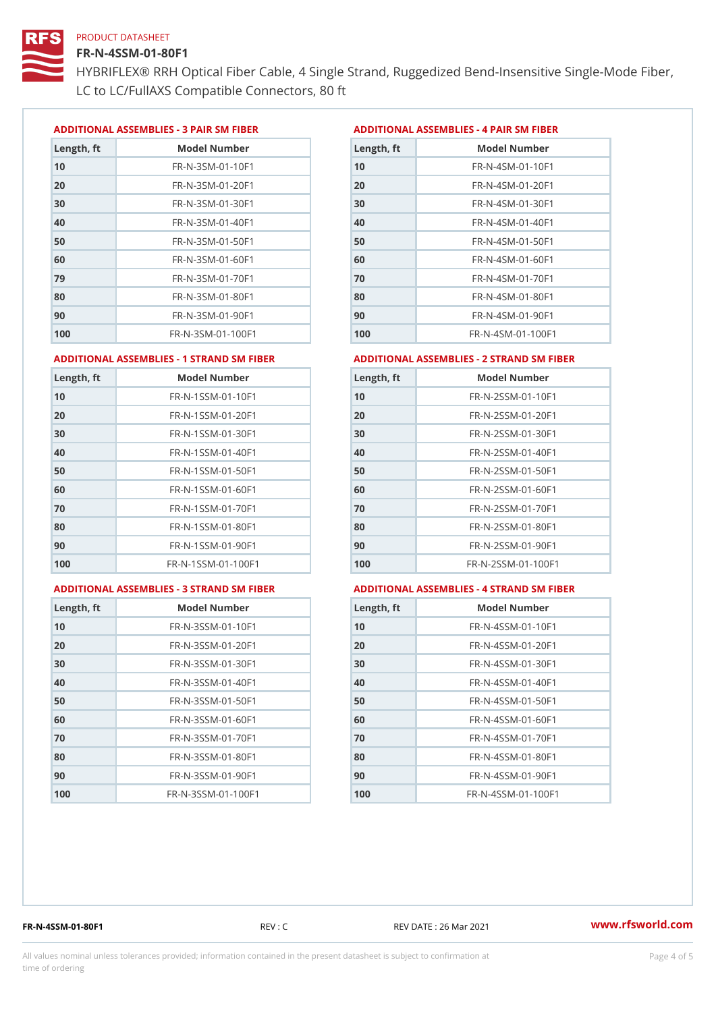### FR-N-4SSM-01-80F1

HYBRIFLEX® RRH Optical Fiber Cable, 4 Single Strand, Ruggedized Be LC to LC/FullAXS Compatible Connectors, 80 ft

ADDITIONAL ASSEMBLIES - 3 PAIR SM FIBERED DITIONAL ASSEMBLIES - 4 PAIR SM FIBER

| Length, ft | Model Number                   |
|------------|--------------------------------|
| 10         | $FR - N - 3 S M - 01 - 10 F1$  |
| 20         | FR-N-3SM-01-20F1               |
| 30         | FR-N-3SM-01-30F1               |
| 40         | $FR - N - 3 S M - 01 - 40 F1$  |
| 50         | FR-N-3SM-01-50F1               |
| 60         | $FR - N - 3 S M - 01 - 60 F1$  |
| 79         | $FR - N - 3 S M - 01 - 70 F1$  |
| 80         | $FR - N - 3 S M - 01 - 80 F1$  |
| 90         | FR-N-3SM-01-90F1               |
| 100        | $FR - N - 3 S M - 01 - 100 F1$ |

| Length, ft | Model Number                   |
|------------|--------------------------------|
| 10         | FR-N-4SM-01-10F1               |
| 20         | $FR - N - 4 SM - 01 - 20 F1$   |
| 30         | $FR - N - 4 S M - 01 - 30 F1$  |
| 40         | FR-N-4SM-01-40F1               |
| 50         | $FR - N - 4 SM - 01 - 50 F1$   |
| 60         | $FR - N - 4 SM - 01 - 60 F1$   |
| 70         | $FR - N - 4 SM - 01 - 70 F1$   |
| 80         | $FR - N - 4 SM - 01 - 80 F1$   |
| 90         | $FR - N - 4 SM - 01 - 90 F1$   |
| 100        | $FR - N - 4 S M - 01 - 100 F1$ |

#### ADDITIONAL ASSEMBLIES - 1 STRAND SM FABSDRTIONAL ASSEMBLIES - 2 STRAND SM FIBER

|     |                                   | Length, ft | Model Number                      |
|-----|-----------------------------------|------------|-----------------------------------|
| 10  | FR-N-1SSM-01-10F1                 | 10         | FR-N-2SSM-01-10F1                 |
| 20  | FR-N-1SSM-01-20F1                 | 20         | $FR - N - 2SSM - 01 - 20F1$       |
| 30  | FR-N-1SSM-01-30F1                 | 30         | FR-N-2SSM-01-30F1                 |
| 40  | $FR - N - 1$ S S M - 01 - 40 F 1  | 40         | $FR - N - 2SSM - 01 - 40F1$       |
| 50  | FR-N-1SSM-01-50F1                 | 50         | FR-N-2SSM-01-50F1                 |
| 60  | $FR - N - 1$ S S M - 01 - 60 F 1  | 60         | FR-N-2SSM-01-60F1                 |
| 70  | FR-N-1SSM-01-70F1                 | 70         | FR-N-2SSM-01-70F1                 |
| 80  | FR-N-1SSM-01-80F1                 | 80         | FR-N-2SSM-01-80F1                 |
| 90  | $FR - N - 1$ S S M - 01 - 90 F 1  | 90         | FR-N-2SSM-01-90F1                 |
| 100 | $FR - N - 1$ S S M - 01 - 100 F 1 | 100        | $FR - N - 2$ S S M - 01 - 100 F 1 |

#### ADDITIONAL ASSEMBLIES - 3 STRAND SM

| <i>I</i> FABDRTIONAL ASSEMBLIE |
|--------------------------------|
|--------------------------------|

# MBLIES - 4 STRAND SM FIBER

| Length, ft | Model Number                    |
|------------|---------------------------------|
| 10         | FR-N-3SSM-01-10F1               |
| 20         | FR-N-3SSM-01-20F1               |
| 30         | FR-N-3SSM-01-30F1               |
| 40         | FR-N-3SSM-01-40F1               |
| 50         | $FR - N - 3 S S M - 01 - 50 F1$ |
| 60         | $FR - N - 3 S S M - 01 - 60 F1$ |
| 70         | FR-N-3SSM-01-70F1               |
| 80         | FR-N-3SSM-01-80F1               |
| 90         | FR-N-3SSM-01-90F1               |
| 100        | FR-N-3SSM-01-100F1              |

| Length, ft | Model Number                     |
|------------|----------------------------------|
| 10         | $FR - N - 4$ S S M - 01 - 10 F 1 |
| 20         | $FR - N - 4 S S M - 01 - 20 F1$  |
| 30         | $FR - N - 4 S S M - 01 - 30 F1$  |
| 40         | $FR - N - 4 S S M - 01 - 40 F1$  |
| 50         | FR-N-4SSM-01-50F1                |
| 60         | FR-N-4SSM-01-60F1                |
| 70         | $FR - N - 4$ S S M - 01 - 70 F 1 |
| 80         | FR-N-4SSM-01-80F1                |
| 90         | $FR - N - 4 S S M - 01 - 90 F1$  |
| 100        | FR-N-4SSM-01-100F1               |

FR-N-4SSM-01-80F1 REV : C REV DATE : 26 Mar 2021 [www.](https://www.rfsworld.com)rfsworld.com

All values nominal unless tolerances provided; information contained in the present datasheet is subject to Pcapgnéig4m ssti time of ordering